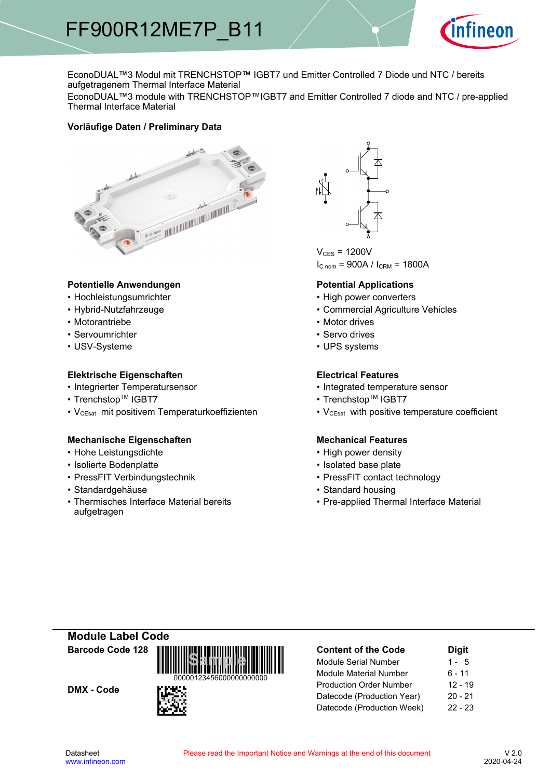

EconoDUAL™3 Modul mit TRENCHSTOP™ IGBT7 und Emitter Controlled 7 Diode und NTC / bereits aufgetragenem Thermal Interface Material

EconoDUAL™3 module with TRENCHSTOP™IGBT7 and Emitter Controlled 7 diode and NTC / pre-applied Thermal Interface Material

#### **Vorläufige-Daten-/-Preliminary-Data**



#### Potentielle Anwendungen<br> **Potential- Potential-**

- Hochleistungsumrichter
- Hybrid-Nutzfahrzeuge
- Motorantriebe
- Servoumrichter
- USV-Systeme

#### **Elektrische Eigenschaften Electrical-**

- Integrierter Temperatursensor  **Integrated**
- Trenchstop<sup>TM</sup> IGBT7  $\bullet$
- V<sub>CEsat</sub> mit positivem Temperaturkoeffizienten V<sub>CEsat</sub>

#### **Mechanische Eigenschaften Mechanical-**

- Hohe Leistungsdichte High-
- Isolierte Bodenplatte Isolated
- PressFIT Verbindungstechnik PressFIT
- Standardgehäuse
- Thermisches Interface Material bereits aufgetragen



 $V_{CFS}$  = 1200V  $I_{C n o m}$  = 900A /  $I_{C RM}$  = 1800A

#### **Potential Applications**

- power converters
- Agriculture-Vehicles
- Motor drives
- Servo drives
- UPS systems

#### **Electrical Features**

- temperature sensor
- $\mathsf{IGBT7}$   $\qquad \qquad \bullet \text{ Trenchstop}^{\mathsf{TM}}\text{ IGBT7}$ 
	- with positive temperature coefficient

#### **Mechanical Features**

- power density
- base-plate
- contact technology
- Standard housing
- Pre-applied Thermal Interface Material

### **Module-Label-Code Barcode-Code-128**

DMX - Code



| <b>Content of the Code</b>     | <b>Digit</b> |  |  |  |
|--------------------------------|--------------|--|--|--|
| Module Serial Number           | $1 - 5$      |  |  |  |
| <b>Module Material Number</b>  | 6 - 11       |  |  |  |
| <b>Production Order Number</b> | $12 - 19$    |  |  |  |
| Datecode (Production Year)     | $20 - 21$    |  |  |  |
| Datecode (Production Week)     | $22 - 23$    |  |  |  |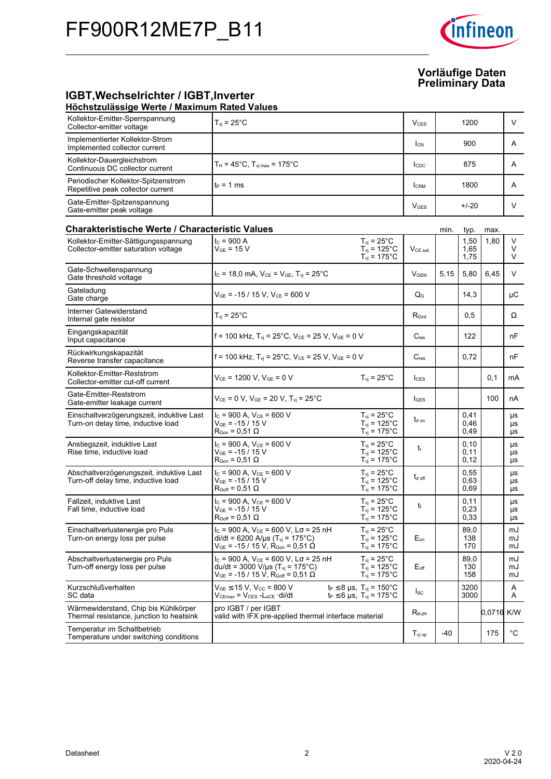

#### **IGBT, Wechselrichter / IGBT, Inverter Höchstzulässige-Werte-/-Maximum-Rated-Values**

| Kollektor-Emitter-Sperrspannung<br>Collector-emitter voltage                     | $T_{vi}$ = 25°C                                                                                                                                                  |                                                                                          | <b>V</b> <sub>CES</sub> |       | 1200                 |            | V              |
|----------------------------------------------------------------------------------|------------------------------------------------------------------------------------------------------------------------------------------------------------------|------------------------------------------------------------------------------------------|-------------------------|-------|----------------------|------------|----------------|
| Implementierter Kollektor-Strom<br>Implemented collector current                 |                                                                                                                                                                  |                                                                                          | <b>I</b> <sub>CN</sub>  |       | 900                  |            | A              |
| Kollektor-Dauergleichstrom<br>Continuous DC collector current                    | $T_H = 45^{\circ}$ C, $T_{Vi\,max} = 175^{\circ}$ C                                                                                                              |                                                                                          | $I_{CDC}$               |       | 875                  |            | A              |
| Periodischer Kollektor-Spitzenstrom<br>Repetitive peak collector current         | $t_P = 1$ ms                                                                                                                                                     |                                                                                          | <b>I</b> CRM            |       | 1800                 |            | A              |
| Gate-Emitter-Spitzenspannung<br>Gate-emitter peak voltage                        |                                                                                                                                                                  |                                                                                          | $V_{GES}$               |       | $+/-20$              |            | V              |
| <b>Charakteristische Werte / Characteristic Values</b><br>min.<br>typ.<br>max.   |                                                                                                                                                                  |                                                                                          |                         |       |                      |            |                |
| Kollektor-Emitter-Sättigungsspannung<br>Collector-emitter saturation voltage     | $I_c = 900 A$<br>$\rm V_{GE}$ = 15 V                                                                                                                             | $T_{vi}$ = 25 $^{\circ}$ C<br>$T_{\text{vj}}$ = 125°C<br>$T_{vi}$ = 175°C                | V <sub>CE</sub> sat     |       | 1,50<br>1,65<br>1,75 | 1,80       | V<br>V<br>V    |
| Gate-Schwellenspannung<br>Gate threshold voltage                                 | $I_C = 18,0 \text{ mA}, V_{CE} = V_{GE}, T_{vj} = 25^{\circ} \text{C}$                                                                                           |                                                                                          | $V$ <sub>GEth</sub>     | 5,15  | 5,80                 | 6,45       | V              |
| Gateladung<br>Gate charge                                                        | $V_{GE}$ = -15 / 15 V, $V_{CE}$ = 600 V                                                                                                                          |                                                                                          | $Q_{G}$                 |       | 14,3                 |            | μC             |
| Interner Gatewiderstand<br>Internal gate resistor                                | $T_{vi} = 25^{\circ}$ C                                                                                                                                          |                                                                                          | $R_{\text{Gint}}$       |       | 0,5                  |            | Ω              |
| Eingangskapazität<br>Input capacitance                                           | f = 100 kHz, $T_{\text{vj}}$ = 25 $^{\circ}$ C, $V_{\text{CE}}$ = 25 V, $V_{\text{GE}}$ = 0 V                                                                    |                                                                                          | $C_{\text{ies}}$        |       | 122                  |            | nF             |
| Rückwirkungskapazität<br>Reverse transfer capacitance                            | f = 100 kHz, $T_{vj}$ = 25°C, $V_{CE}$ = 25 V, $V_{GE}$ = 0 V                                                                                                    |                                                                                          | $C_{res}$               |       | 0,72                 |            | nF             |
| Kollektor-Emitter-Reststrom<br>Collector-emitter cut-off current                 | $V_{CE}$ = 1200 V, $V_{GE}$ = 0 V                                                                                                                                | $T_{vi}$ = 25 $^{\circ}$ C                                                               | <b>I</b> CES            |       |                      | 0,1        | mA             |
| Gate-Emitter-Reststrom<br>Gate-emitter leakage current                           | $V_{CE} = 0 V$ , $V_{GE} = 20 V$ , $T_{vi} = 25^{\circ}C$                                                                                                        |                                                                                          | <b>IGES</b>             |       |                      | 100        | nA             |
| Einschaltverzögerungszeit, induktive Last<br>Turn-on delay time, inductive load  | $I_C$ = 900 A, $V_{CE}$ = 600 V<br>$V_{GF}$ = -15 / 15 V<br>$R_{\text{Gon}} = 0.51 \Omega$                                                                       | $T_{\rm vj}$ = 25°C<br>$T_{vi}$ = 125°C<br>$T_{\text{vj}}$ = 175°C                       | $t_{d \text{ on}}$      |       | 0,41<br>0,46<br>0,49 |            | μs<br>μs<br>μs |
| Anstiegszeit, induktive Last<br>Rise time, inductive load                        | $I_C$ = 900 A, $V_{CE}$ = 600 V<br>V <sub>GE</sub> = -15 / 15 V<br>$R_{\text{Gon}} = 0.51 \Omega$                                                                | $T_{vi}$ = 25°C<br>$T_{vi}$ = 125°C<br>$T_{\text{vj}}$ = 175°C                           | t                       |       | 0,10<br>0,11<br>0,12 |            | μs<br>μs<br>μs |
| Abschaltverzögerungszeit, induktive Last<br>Turn-off delay time, inductive load  | $I_c = 900 A$ , $V_{CE} = 600 V$<br>$V_{GE}$ = -15 / 15 V<br>$R_{Goff} = 0.51 \Omega$                                                                            | $T_{vi}$ = 25 $^{\circ}$ C<br>$T_{\text{vj}}$ = 125°C<br>$T_{\text{vj}} = 175^{\circ}$ C | $t_{d \text{ off}}$     |       | 0,55<br>0,63<br>0,69 |            | μs<br>μs<br>μs |
| Fallzeit, induktive Last<br>Fall time, inductive load                            | $I_c$ = 900 A, $V_{CE}$ = 600 V<br>$V_{GF}$ = -15 / 15 V<br>$R_{Goff}$ = 0,51 $\Omega$                                                                           | $T_{vi}$ = 25 $^{\circ}$ C<br>$T_{\rm vj} = 125^{\circ}C$<br>$T_{\text{vj}}$ = 175°C     | t                       |       | 0,11<br>0,23<br>0.33 |            | μs<br>μs<br>μs |
| Einschaltverlustenergie pro Puls<br>Turn-on energy loss per pulse                | $I_c$ = 900 A, $V_{CE}$ = 600 V, L $\sigma$ = 25 nH<br>di/dt = 6200 A/µs (T <sub>vi</sub> = 175°C)<br>$\rm{V_{GE}}$ = -15 / 15 V, $\rm{R_{Gon}}$ = 0,51 $\Omega$ | $T_{\rm vj}$ = 25°C<br>$T_{vi}$ = 125°C<br>$T_{\text{vj}}$ = 175°C                       | $E_{on}$                |       | 89,0<br>138<br>170   |            | mJ<br>mJ<br>mJ |
| Abschaltverlustenergie pro Puls<br>Turn-off energy loss per pulse                | $I_c$ = 900 A, $V_{CE}$ = 600 V, $L\sigma$ = 25 nH<br>du/dt = 3000 V/µs ( $T_{vi}$ = 175°C)<br>$V_{GE}$ = -15 / 15 V, R <sub>Goff</sub> = 0,51 Ω                 | $T_{vi}$ = 25 $^{\circ}$ C<br>$T_{vi}$ = 125 $^{\circ}$ C<br>$T_{\text{vj}}$ = 175°C     | $E_{\text{off}}$        |       | 89,0<br>130<br>158   |            | mJ<br>mJ<br>mJ |
| Kurzschlußverhalten<br>SC data                                                   | $V_{GE}$ $\leq$ 15 V, V <sub>CC</sub> = 800 V<br>$V_{CEmax} = V_{CES} - L_{sCE} \cdot di/dt$                                                                     | $t_P \le 8 \,\mu s$ , $T_{vj} = 150^{\circ}C$<br>$t_P \le 6$ µs, $T_{vi} = 175^{\circ}C$ | $I_{SC}$                |       | 3200<br>3000         |            | Α<br>Α         |
| Wärmewiderstand, Chip bis Kühlkörper<br>Thermal resistance, junction to heatsink | pro IGBT / per IGBT<br>valid with IFX pre-applied thermal interface material                                                                                     |                                                                                          | $R_{thJH}$              |       |                      | 0,0716 K/W |                |
| Temperatur im Schaltbetrieb<br>Temperature under switching conditions            |                                                                                                                                                                  |                                                                                          | $T_{\text{vj op}}$      | $-40$ |                      | 175        | $^{\circ}$ C   |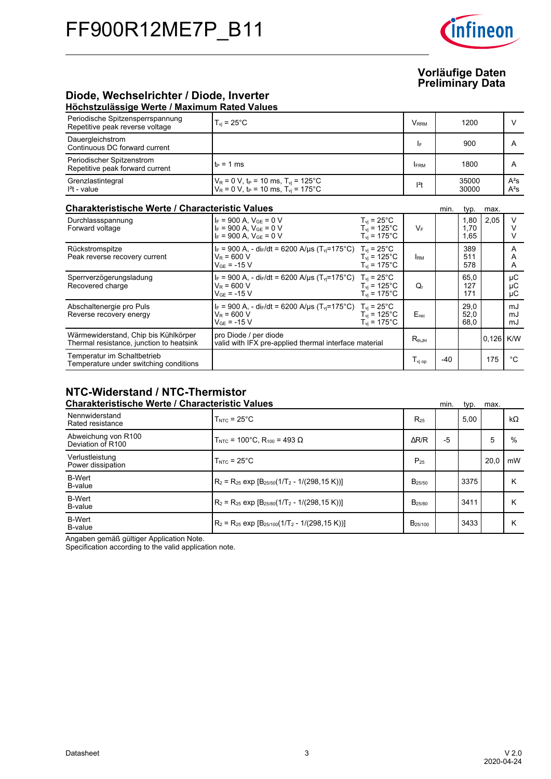

#### **Diode,-Wechselrichter-/-Diode,-Inverter Höchstzulässige-Werte-/-Maximum-Rated-Values**

| Periodische Spitzensperrspannung<br>Repetitive peak reverse voltage              | $T_{vi}$ = 25 $^{\circ}$ C                                                                                                            |                                                                    | <b>VRRM</b>      |       | 1200                 |       | $\vee$           |
|----------------------------------------------------------------------------------|---------------------------------------------------------------------------------------------------------------------------------------|--------------------------------------------------------------------|------------------|-------|----------------------|-------|------------------|
| Dauergleichstrom<br>Continuous DC forward current                                |                                                                                                                                       |                                                                    | IF               |       | 900                  |       | A                |
| Periodischer Spitzenstrom<br>Repetitive peak forward current                     | $t_P = 1$ ms                                                                                                                          |                                                                    | <b>FRM</b>       |       | 1800                 |       | A                |
| Grenzlastintegral<br>$I2t - value$                                               | $V_R$ = 0 V, t <sub>P</sub> = 10 ms, T <sub>vi</sub> = 125°C<br>$V_R = 0 V$ , t <sub>P</sub> = 10 ms, T <sub>vi</sub> = 175°C         |                                                                    | $l2$ t           |       | 35000<br>30000       |       | $A^2S$<br>$A^2S$ |
| <b>Charakteristische Werte / Characteristic Values</b>                           |                                                                                                                                       |                                                                    |                  | min.  | typ.                 | max.  |                  |
| Durchlassspannung<br>Forward voltage                                             | $I_F$ = 900 A, $V_{GE}$ = 0 V<br>$I_F = 900$ A, $V_{GE} = 0$ V<br>$I_F = 900$ A, $V_{GE} = 0$ V                                       | $T_{vi}$ = 25 $^{\circ}$ C<br>$T_{vi}$ = 125°C<br>$T_{vi}$ = 175°C | $V_F$            |       | 1,80<br>1.70<br>1,65 | 2,05  | V<br>v<br>v      |
| Rückstromspitze<br>Peak reverse recovery current                                 | $I_F = 900$ A, - di $_F/dt = 6200$ A/us (T <sub>vi</sub> =175°C) T <sub>vi</sub> = 25°C<br>$V_R = 600 V$<br>$V_{GF}$ = -15 V          | $T_{vi}$ = 125°C<br>$T_{vi}$ = 175°C                               | <b>IRM</b>       |       | 389<br>511<br>578    |       | A<br>A<br>A      |
| Sperrverzögerungsladung<br>Recovered charge                                      | $I_F = 900$ A, - di <sub>F</sub> /dt = 6200 A/µs (T <sub>vi</sub> =175°C) T <sub>vi</sub> = 25°C<br>$V_R = 600 V$<br>$V_{GF}$ = -15 V | $T_{vi}$ = 125°C<br>$T_{vi}$ = 175°C                               | Q,               |       | 65,0<br>127<br>171   |       | μC<br>μC<br>μC   |
| Abschaltenergie pro Puls<br>Reverse recovery energy                              | $I_F = 900$ A, - di <sub>F</sub> /dt = 6200 A/µs (T <sub>vi</sub> =175°C) T <sub>vi</sub> = 25°C<br>$V_R = 600 V$<br>$V_{GF}$ = -15 V | $T_{vi}$ = 125°C<br>$T_{vi}$ = 175°C                               | Erec             |       | 29,0<br>52,0<br>68,0 |       | mJ<br>mJ<br>mJ   |
| Wärmewiderstand, Chip bis Kühlkörper<br>Thermal resistance, junction to heatsink | pro Diode / per diode<br>valid with IFX pre-applied thermal interface material                                                        |                                                                    | $R_{th,IH}$      |       |                      | 0,126 | K/W              |
| Temperatur im Schaltbetrieb<br>Temperature under switching conditions            |                                                                                                                                       |                                                                    | $T_{\rm vi\,op}$ | $-40$ |                      | 175   | °C               |

## **NTC-Widerstand-/-NTC-Thermistor**

| <b>Charakteristische Werte / Characteristic Values</b> |                                                          |                     | min. | typ. | max. |           |
|--------------------------------------------------------|----------------------------------------------------------|---------------------|------|------|------|-----------|
| Nennwiderstand<br>Rated resistance                     | $T_{\text{NTC}} = 25^{\circ}$ C                          | $R_{25}$            |      | 5,00 |      | $k\Omega$ |
| Abweichung von R100<br>Deviation of R100               | T <sub>NTC</sub> = 100°C, R <sub>100</sub> = 493 Ω       | $\Delta$ R/R        | $-5$ |      | 5    | %         |
| Verlustleistung<br>Power dissipation                   | $TNTC = 25°C$                                            | $P_{25}$            |      |      | 20.0 | mW        |
| <b>B-Wert</b><br>B-value                               | $R_2 = R_{25}$ exp $[B_{25/50}(1/T_2 - 1/(298.15 K))]$   | B <sub>25/50</sub>  |      | 3375 |      | Κ         |
| <b>B-Wert</b><br>B-value                               | $R_2 = R_{25}$ exp $[B_{25/80}(1/T_2 - 1/(298.15 K))]$   | B <sub>25/80</sub>  |      | 3411 |      | Κ         |
| <b>B-Wert</b><br>B-value                               | $R_2 = R_{25}$ exp $[B_{25/100}(1/T_2 - 1/(298, 15 K))]$ | B <sub>25/100</sub> |      | 3433 |      | κ         |

Angaben gemäß gültiger Application Note.

Specification according to the valid application note.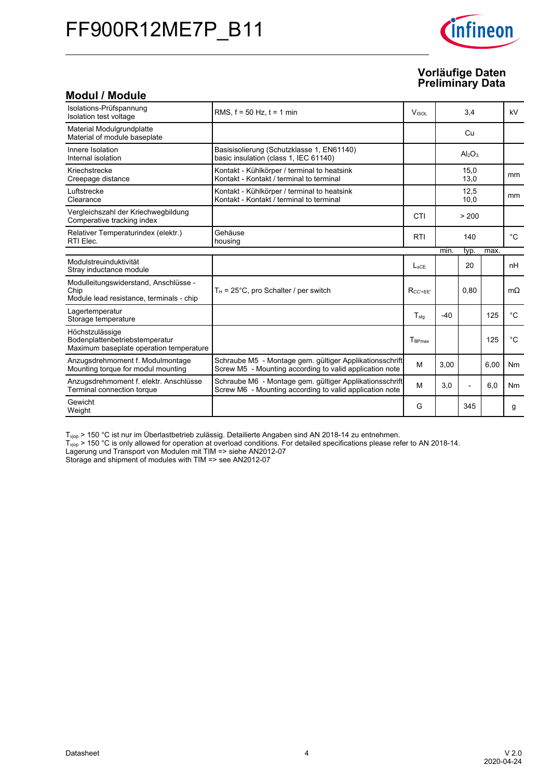# FF900R12ME7P\_B11



### **Vorläufige-Daten Preliminary-Data**

### **Modul-/-Module**

| Isolations-Prüfspannung<br>Isolation test voltage                                            | RMS. $f = 50$ Hz. $t = 1$ min                                                                                      | <b>V</b> <sub>ISOL</sub> |       | 3,4            |      | kV          |
|----------------------------------------------------------------------------------------------|--------------------------------------------------------------------------------------------------------------------|--------------------------|-------|----------------|------|-------------|
| Material Modulgrundplatte<br>Material of module baseplate                                    |                                                                                                                    |                          |       | Cu             |      |             |
| Innere Isolation<br>Internal isolation                                                       | Basisisolierung (Schutzklasse 1, EN61140)<br>basic insulation (class 1, IEC 61140)                                 |                          |       | $Al_2O_3$      |      |             |
| Kriechstrecke<br>Creepage distance                                                           | Kontakt - Kühlkörper / terminal to heatsink<br>Kontakt - Kontakt / terminal to terminal                            |                          |       | 15,0<br>13,0   |      | mm          |
| Luftstrecke<br>Clearance                                                                     | Kontakt - Kühlkörper / terminal to heatsink<br>Kontakt - Kontakt / terminal to terminal                            |                          |       | 12,5<br>10,0   |      | mm          |
| Vergleichszahl der Kriechwegbildung<br>Comperative tracking index                            |                                                                                                                    | CTI                      |       | > 200          |      |             |
| Relativer Temperaturindex (elektr.)<br>RTI Elec.                                             | Gehäuse<br>housing                                                                                                 | <b>RTI</b>               |       | 140            |      | $^{\circ}C$ |
|                                                                                              |                                                                                                                    |                          | min.  | typ.           | max. |             |
| Modulstreuinduktivität<br>Stray inductance module                                            |                                                                                                                    | $L_{\text{sCE}}$         |       | 20             |      | nH          |
| Modulleitungswiderstand, Anschlüsse -<br>Chip<br>Module lead resistance, terminals - chip    | $T_H$ = 25°C, pro Schalter / per switch                                                                            | $R_{CC'+EE'}$            |       | 0.80           |      | $m\Omega$   |
| Lagertemperatur<br>Storage temperature                                                       |                                                                                                                    | $T_{sta}$                | $-40$ |                | 125  | $^{\circ}C$ |
| Höchstzulässige<br>Bodenplattenbetriebstemperatur<br>Maximum baseplate operation temperature |                                                                                                                    | $T_{\tiny\text{BPMax}}$  |       |                | 125  | $^{\circ}C$ |
| Anzugsdrehmoment f. Modulmontage<br>Mounting torque for modul mounting                       | Schraube M5 - Montage gem. gültiger Applikationsschrift<br>Screw M5 - Mounting according to valid application note | M                        | 3,00  |                | 6,00 | Nm          |
| Anzugsdrehmoment f. elektr. Anschlüsse<br>Terminal connection torque                         | Schraube M6 - Montage gem. gültiger Applikationsschrift<br>Screw M6 - Mounting according to valid application note | M                        | 3.0   | $\overline{a}$ | 6,0  | <b>Nm</b>   |
| Gewicht<br>Weight                                                                            |                                                                                                                    | G                        |       | 345            |      | g           |

 $T_{\text{vjop}}$  > 150 °C ist nur im Überlastbetrieb zulässig. Detailierte Angaben sind AN 2018-14 zu entnehmen.

 $T_{\text{vjop}}$  > 150 °C is only allowed for operation at overload conditions. For detailed specifications please refer to AN 2018-14.

Lagerung und Transport von Modulen mit TIM => siehe AN2012-07

Storage and shipment of modules with TIM => see AN2012-07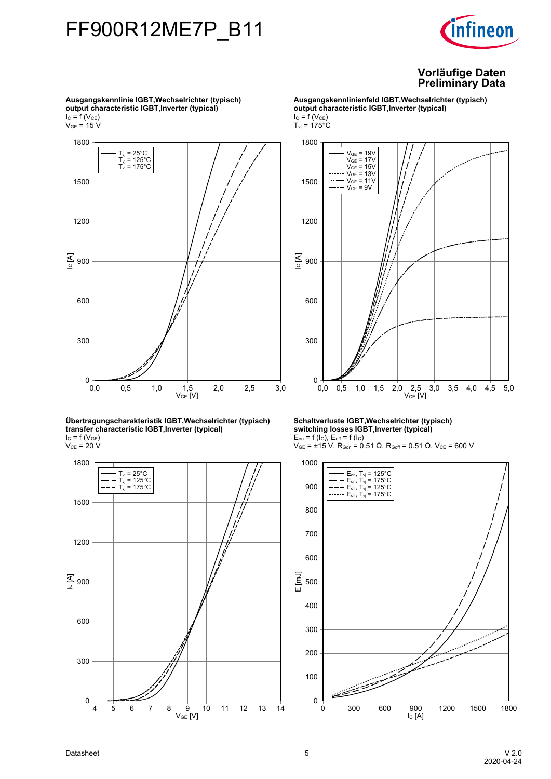

 $\rm V_{GE}$  = 15 V  $\rm V_{CE}$  [V] <u>ड</u> <sub>900</sub> 0,0 0,5 1,0 1,5 2,0 2,5 3,0  $0 + 0$ <br>0,0 300 600 1200 1500 1800  $T_{\text{vj}}$  = 25 $^{\circ}$ C T<sub>vj</sub> = 125°C<br>T<sub>vj</sub> = 175°C

**Übertragungscharakteristik-IGBT,Wechselrichter-(typisch) transfer-characteristic-IGBT,Inverter-(typical)**  $I_{C}$  = f (V<sub>GE</sub>)  $V_{CE}$  = 20 V



**Ausgangskennlinienfeld-IGBT,Wechselrichter-(typisch) output-characteristic-IGBT,Inverter-(typical)**  $I_{C} = f(V_{CE})$  $T_{\rm vj}$  = 175°C



**Schaltverluste-IGBT,Wechselrichter-(typisch) switching-losses-IGBT,Inverter-(typical)**  $E_{on}$  = f (l<sub>C</sub>),  $E_{off}$  = f (l<sub>C</sub>)

 $V_{GE}$  = ±15 V, R<sub>Gon</sub> = 0.51 Ω, R<sub>Goff</sub> = 0.51 Ω, V<sub>CE</sub> = 600 V



**Ausgangskennlinie-IGBT,Wechselrichter-(typisch) output-characteristic-IGBT,Inverter-(typical)**  $I_{C}$  = f (V<sub>CE</sub>)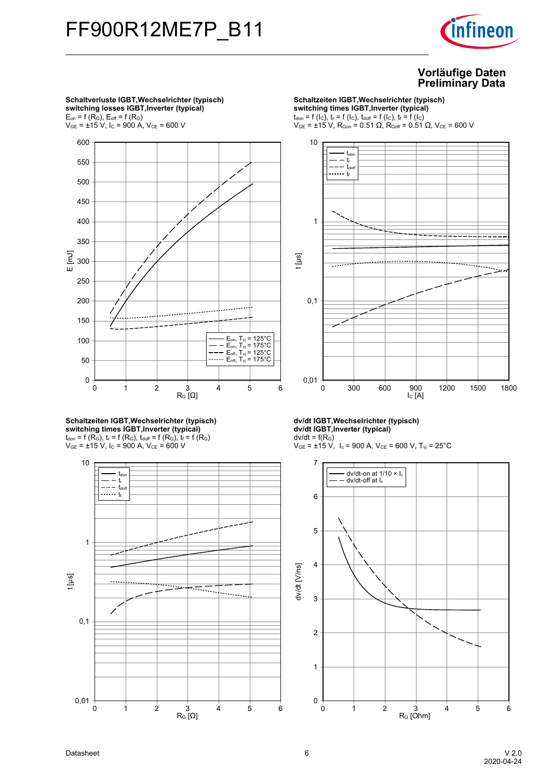

**Schaltverluste-IGBT,Wechselrichter-(typisch) switching-losses-IGBT,Inverter-(typical)**  $E_{on}$  = f ( $R_G$ ),  $E_{off}$  = f ( $R_G$ )



**Schaltzeiten-IGBT,Wechselrichter-(typisch) switching-times-IGBT,Inverter-(typical)**  $t_{\text{don}}$  = f (R<sub>G</sub>),  $t_r$  = f (R<sub>G</sub>),  $t_{\text{doff}}$  = f (R<sub>G</sub>),  $t_f$  = f (R<sub>G</sub>)  $V_{GE}$  =  $\pm$ 15 V, I<sub>C</sub> = 900 A, V<sub>CE</sub> = 600 V



**Schaltzeiten IGBT, Wechselrichter (typisch) switching-times-IGBT,Inverter-(typical)**  $t_{\text{don}} = f(l_{\text{C}}), t_{\text{r}} = f(l_{\text{C}}), t_{\text{doff}} = f(l_{\text{C}}), t_{\text{f}} = f(l_{\text{C}})$ 

 $V_{GE}$  = ±15 V, R<sub>Gon</sub> = 0.51 Ω, R<sub>Goff</sub> = 0.51 Ω, V<sub>CE</sub> = 600 V



**dv/dt-IGBT,Wechselrichter-(typisch) dv/dt-IGBT,Inverter-(typical)**  $dv/dt = f(R_G)$ 

 $V_{GE}$  = ±15 V, I<sub>c</sub> = 900 A, V<sub>CE</sub> = 600 V, T<sub>vj</sub> = 25°C

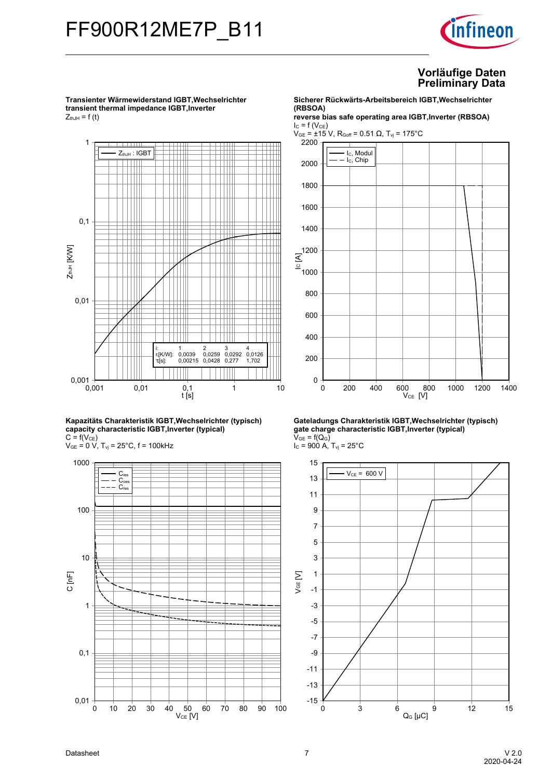## FF900R12ME7P\_B11



#### **Vorläufige-Daten Preliminary-Data**

**Transienter-Wärmewiderstand-IGBT,Wechselrichtertransient thermal impedance IGBT, Inverter**  $Z_{thJH}$  = f (t)



**Kapazitäts-Charakteristik-IGBT,Wechselrichter-(typisch) capacity-characteristic-IGBT,Inverter-(typical)**  $C = f(V_{CE})$ 

 $V_{GE}$  = 0 V,  $T_{vj}$  = 25°C, f = 100kHz



**Sicherer-Rückwärts-Arbeitsbereich-IGBT,Wechselrichter (RBSOA)**

**reverse-bias-safe-operating-area-IGBT,Inverter-(RBSOA)**  $I_{C} = f(V_{CE})$ 

 $V_{GE}$  = ±15 V, R<sub>Goff</sub> = 0.51 Ω, T<sub>vj</sub> = 175°C



**Gateladungs-Charakteristik-IGBT,Wechselrichter-(typisch) gate-charge-characteristic-IGBT,Inverter-(typical)**  $V_{GE} = f(Q_G)$  $I_c = 900$  A,  $T_{vj} = 25^{\circ}$ C



Datasheet 7 V-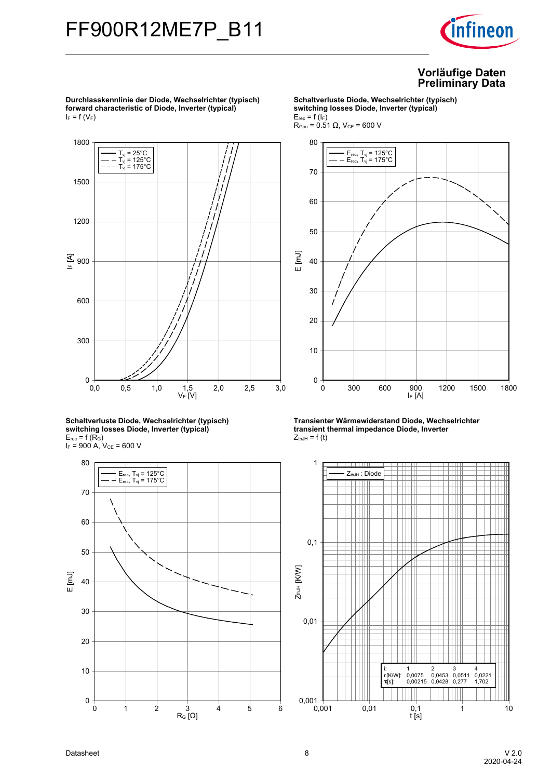

**Durchlasskennlinie-der-Diode,-Wechselrichter-(typisch) forward-characteristic-of-Diode,-Inverter-(typical)**  $I_F = f(V_F)$ 1800



**Schaltverluste-Diode,-Wechselrichter-(typisch) switching-losses-Diode,-Inverter-(typical)**  $E_{rec}$  = f (R<sub>G</sub>)  $I_F$  = 900 A,  $V_{CE}$  = 600 V



**Schaltverluste-Diode,-Wechselrichter-(typisch) switching-losses-Diode,-Inverter-(typical)**  $E_{rec}$  = f ( $I_F$ )  $R_{Gen}$  = 0.51 Ω,  $V_{CE}$  = 600 V



**Transienter-Wärmewiderstand-Diode,-Wechselrichter transient thermal impedance Diode, Inverter**  $Z_{thJH}$  = f (t)

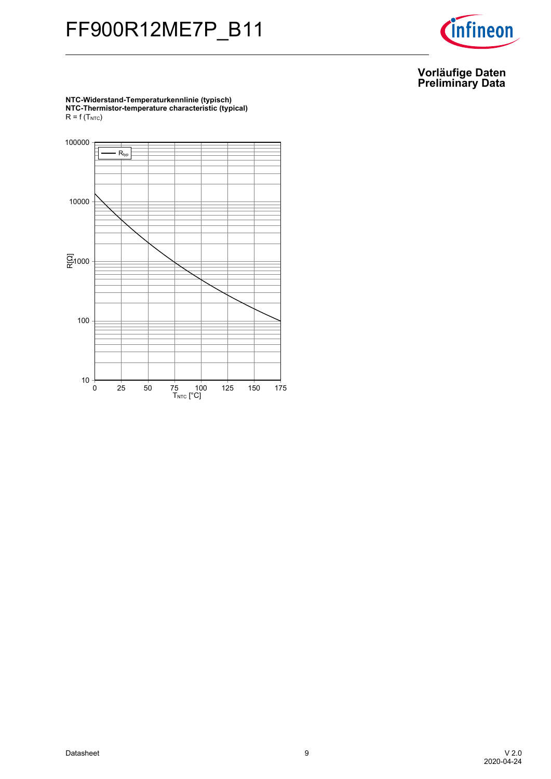# FF900R12ME7P\_B11



#### **Vorläufige-Daten Preliminary-Data**

**NTC-Widerstand-Temperaturkennlinie-(typisch) NTC-Thermistor-temperature-characteristic-(typical)**  $R = f(T_{NTC})$ 

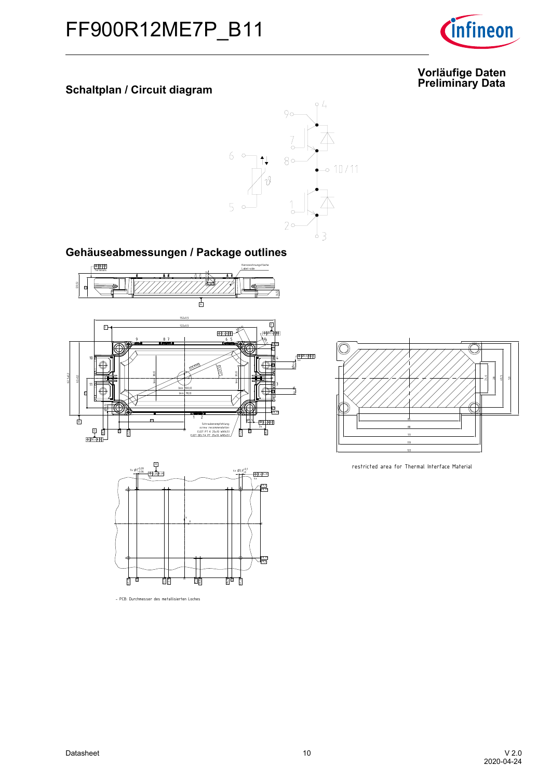

## **Data Schaltplan-/-Circuit-diagram**



Gehäuseabmessungen / Package outlines





- PCB: Durchmesser des metallisierten Loches



restricted area for Thermal Interface Material